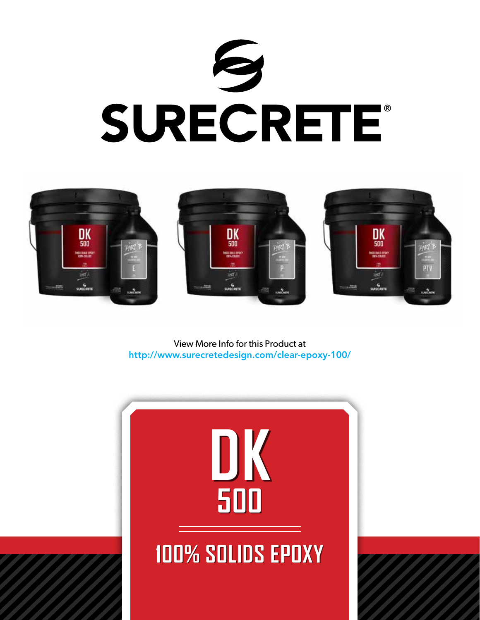



View More Info for this Product at http://www.surecretedesign.com/clear-epoxy-100/

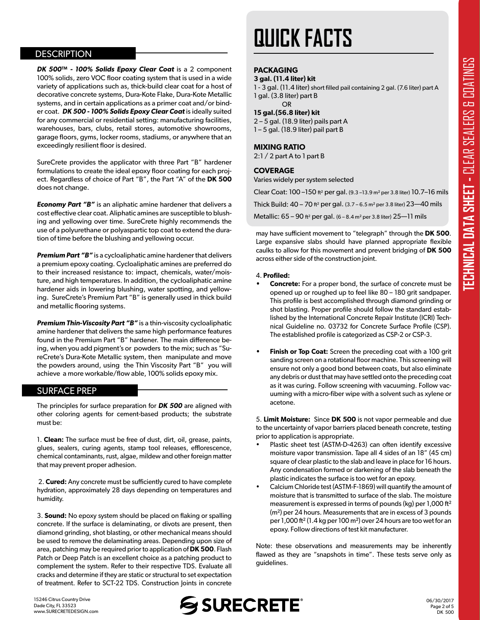## **DESCRIPTION**

*DK 500™ - 100% Solids Epoxy Clear Coat* is a 2 component 100% solids, zero VOC floor coating system that is used in a wide variety of applications such as, thick-build clear coat for a host of decorative concrete systems, Dura-Kote Flake, Dura-Kote Metallic systems, and in certain applications as a primer coat and/or binder coat. *DK 500 - 100% Solids Epoxy Clear Coat* is ideally suited for any commercial or residential setting: manufacturing facilities, warehouses, bars, clubs, retail stores, automotive showrooms, garage floors, gyms, locker rooms, stadiums, or anywhere that an exceedingly resilient floor is desired.

SureCrete provides the applicator with three Part "B" hardener formulations to create the ideal epoxy floor coating for each project. Regardless of choice of Part "B", the Part "A" of the **DK 500**  does not change.

*Economy Part "B"* is an aliphatic amine hardener that delivers a cost effective clear coat. Aliphatic amines are susceptible to blushing and yellowing over time. SureCrete highly recommends the use of a polyurethane or polyaspartic top coat to extend the duration of time before the blushing and yellowing occur.

*Premium Part "B"* is a cycloaliphatic amine hardener that delivers a premium epoxy coating. Cycloaliphatic amines are preferred do to their increased resistance to: impact, chemicals, water/moisture, and high temperatures. In addition, the cycloaliphatic amine hardener aids in lowering blushing, water spotting, and yellowing. SureCrete's Premium Part "B" is generally used in thick build and metallic flooring systems.

*Premium Thin-Viscosity Part "B"* is a thin-viscosity cycloaliphatic amine hardener that delivers the same high performance features found in the Premium Part "B" hardener. The main difference being, when you add pigment's or powders to the mix; such as "SureCrete's Dura-Kote Metallic system, then manipulate and move the powders around, using the Thin Viscosity Part "B" you will achieve a more workable/flow able, 100% solids epoxy mix.

#### SURFACE PREP

The principles for surface preparation for *DK 500* are aligned with other coloring agents for cement-based products; the substrate must be:

1. **Clean:** The surface must be free of dust, dirt, oil, grease, paints, glues, sealers, curing agents, stamp tool releases, efflorescence, chemical contaminants, rust, algae, mildew and other foreign matter that may prevent proper adhesion.

 2. **Cured:** Any concrete must be sufficiently cured to have complete hydration, approximately 28 days depending on temperatures and humidity.

area, patching may be required prior to application of DK 500. Hash<br>Patch or Deep Patch is an excellent choice as a patching product to 3. **Sound:** No epoxy system should be placed on flaking or spalling concrete. If the surface is delaminating, or divots are present, then diamond grinding, shot blasting, or other mechanical means should be used to remove the delaminating areas. Depending upon size of area, patching may be required prior to application of **DK 500**. Flash complement the system. Refer to their respective TDS. Evaluate all cracks and determine if they are static or structural to set expectation of treatment. Refer to SCT-22 TDS. Construction Joints in concrete

# **QUICK FACTS**

### **PACKAGING**

#### **3 gal. (11.4 liter) kit**

1 - 3 gal. (11.4 liter) short filled pail containing 2 gal. (7.6 liter) part A 1 gal. (3.8 liter) part B OR

#### **15 gal.(56.8 liter) kit**

2 – 5 gal. (18.9 liter) pails part A 1 – 5 gal. (18.9 liter) pail part B

#### **MIXING RATIO**

2:1 / 2 part A to 1 part B

#### **COVERAGE**

Varies widely per system selected

Clear Coat: 100 –150 ft² per gal. (9.3 –13.9 m² per 3.8 liter) 10.7–16 mils

Thick Build: 40 – 70 ft² per gal. (3.7 – 6.5 m² per 3.8 liter) 23—40 mils

Metallic:  $65 - 90$  ft<sup>2</sup> per gal.  $(6 - 8.4 \text{ m}^2 \text{ per } 3.8 \text{ liter})$  25-11 mils

may have sufficient movement to "telegraph" through the **DK 500**. Large expansive slabs should have planned appropriate flexible caulks to allow for this movement and prevent bridging of **DK 500** across either side of the construction joint.

#### 4. **Profiled:**

- **• Concrete:** For a proper bond, the surface of concrete must be opened up or roughed up to feel like 80 – 180 grit sandpaper. This profile is best accomplished through diamond grinding or shot blasting. Proper profile should follow the standard established by the International Concrete Repair Institute (ICRI) Technical Guideline no. 03732 for Concrete Surface Profile (CSP). The established profile is categorized as CSP-2 or CSP-3.
- **Finish or Top Coat:** Screen the preceding coat with a 100 grit sanding screen on a rotational floor machine. This screening will ensure not only a good bond between coats, but also eliminate any debris or dust that may have settled onto the preceding coat as it was curing. Follow screening with vacuuming. Follow vacuuming with a micro-fiber wipe with a solvent such as xylene or acetone.

5. **Limit Moisture:** Since **DK 500** is not vapor permeable and due to the uncertainty of vapor barriers placed beneath concrete, testing prior to application is appropriate.

- Plastic sheet test (ASTM-D-4263) can often identify excessive  $\overline{r}$ moisture vapor transmission. Tape all 4 sides of an 18" (45 cm) square of clear plastic to the slab and leave in place for 16 hours. Any condensation formed or darkening of the slab beneath the plastic indicates the surface is too wet for an epoxy.
- Calcium Chloride test (ASTM-F-1869) will quantify the amount of moisture that is transmitted to surface of the slab. The moisture measurement is expressed in terms of pounds (kg) per  $1,000$  ft<sup>2</sup>  $(m<sup>2</sup>)$  per 24 hours. Measurements that are in excess of 3 pounds per 1,000 ft<sup>2</sup> (1.4 kg per 100 m<sup>2</sup>) over 24 hours are too wet for an epoxy. Follow directions of test kit manufacturer.

Note: these observations and measurements may be inherently flawed as they are "snapshots in time". These tests serve only as guidelines.

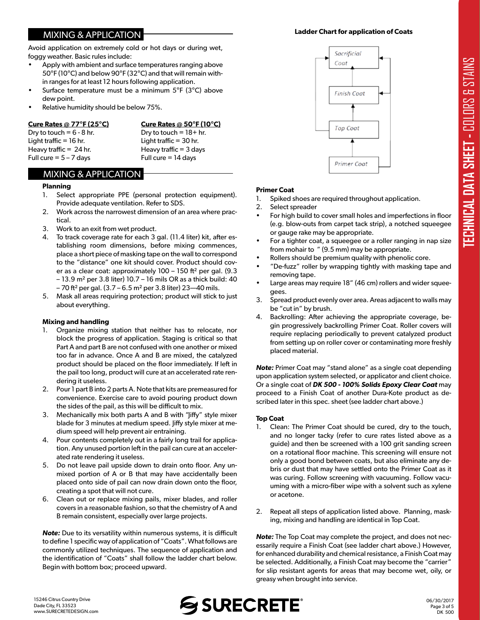# MIXING & APPLICATION

Avoid application on extremely cold or hot days or during wet, foggy weather. Basic rules include:

- Apply with ambient and surface temperatures ranging above 50°F (10°C) and below 90°F (32°C) and that will remain within ranges for at least 12 hours following application.
- Surface temperature must be a minimum  $5^{\circ}F$  (3 $^{\circ}C$ ) above dew point.
- Relative humidity should be below 75%.

**Cure Rates @ 77°F (25°C) Cure Rates @ 50°F (10°C)** Dry to touch =  $6 - 8$  hr. Dry to touch =  $18 + hr$ . Light traffic = 16 hr. Light traffic = 30 hr. Heavy traffic =  $24$  hr. Heavy traffic =  $3$  days Full cure  $= 5 - 7$  days Full cure  $= 14$  days

# MIXING & APPLICATION

#### **Planning**

- 1. Select appropriate PPE (personal protection equipment). Provide adequate ventilation. Refer to SDS.
- 2. Work across the narrowest dimension of an area where practical.
- 3. Work to an exit from wet product.
- 4. To track coverage rate for each 3 gal. (11.4 liter) kit, after establishing room dimensions, before mixing commences, place a short piece of masking tape on the wall to correspond to the "distance" one kit should cover. Product should cover as a clear coat: approximately 100 – 150 ft² per gal. (9.3 – 13.9 m² per 3.8 liter) 10.7 – 16 mils OR as a thick build: 40  $-70$  ft<sup>2</sup> per gal. (3.7 – 6.5 m<sup>2</sup> per 3.8 liter) 23–40 mils.
- 5. Mask all areas requiring protection; product will stick to just about everything.

## **Mixing and handling**

- Organize mixing station that neither has to relocate, nor block the progress of application. Staging is critical so that Part A and part B are not confused with one another or mixed too far in advance. Once A and B are mixed, the catalyzed product should be placed on the floor immediately. If left in the pail too long, product will cure at an accelerated rate rendering it useless.
- 2. Pour 1 part B into 2 parts A. Note that kits are premeasured for convenience. Exercise care to avoid pouring product down the sides of the pail, as this will be difficult to mix.
- 3. Mechanically mix both parts A and B with "Jiffy" style mixer blade for 3 minutes at medium speed. Jiffy style mixer at medium speed will help prevent air entraining.
- 4. Pour contents completely out in a fairly long trail for application. Any unused portion left in the pail can cure at an accelerated rate rendering it useless.
- 5. Do not leave pail upside down to drain onto floor. Any unmixed portion of A or B that may have accidentally been placed onto side of pail can now drain down onto the floor, creating a spot that will not cure.
- 6. Clean out or replace mixing pails, mixer blades, and roller covers in a reasonable fashion, so that the chemistry of A and B remain consistent, especially over large projects.

commonly unized techniques. The sequence of application and<br>the identification of "Coats" shall follow the ladder chart below. *Note:* Due to its versatility within numerous systems, it is difficult to define 1 specific way of application of "Coats". What follows are commonly utilized techniques. The sequence of application and Begin with bottom box; proceed upward.





#### **Primer Coat**

- 1. Spiked shoes are required throughout application.
- 2. Select spreader
- For high build to cover small holes and imperfections in floor (e.g. blow-outs from carpet tack strip), a notched squeegee or gauge rake may be appropriate.
- For a tighter coat, a squeegee or a roller ranging in nap size from mohair to " (9.5 mm) may be appropriate.
- Rollers should be premium quality with phenolic core.
- "De-fuzz" roller by wrapping tightly with masking tape and removing tape.
- Large areas may require 18" (46 cm) rollers and wider squeegees.
- 3. Spread product evenly over area. Areas adjacent to walls may be "cut in" by brush.
- 4. Backrolling: After achieving the appropriate coverage, begin progressively backrolling Primer Coat. Roller covers will require replacing periodically to prevent catalyzed product from setting up on roller cover or contaminating more freshly placed material.

*Note:* Primer Coat may "stand alone" as a single coat depending upon application system selected, or applicator and client choice. Or a single coat of *DK 500 - 100% Solids Epoxy Clear Coat* may proceed to a Finish Coat of another Dura-Kote product as described later in this spec. sheet (see ladder chart above.)

#### **Top Coat**

- 1. Clean: The Primer Coat should be cured, dry to the touch, and no longer tacky (refer to cure rates listed above as a guide) and then be screened with a 100 grit sanding screen on a rotational floor machine. This screening will ensure not only a good bond between coats, but also eliminate any debris or dust that may have settled onto the Primer Coat as it was curing. Follow screening with vacuuming. Follow vacuuming with a micro-fiber wipe with a solvent such as xylene or acetone.
- 2. Repeat all steps of application listed above. Planning, masking, mixing and handling are identical in Top Coat.

*Note:* The Top Coat may complete the project, and does not necessarily require a Finish Coat (see ladder chart above.) However, for enhanced durability and chemical resistance, a Finish Coat may be selected. Additionally, a Finish Coat may become the "carrier" for slip resistant agents for areas that may become wet, oily, or greasy when brought into service.

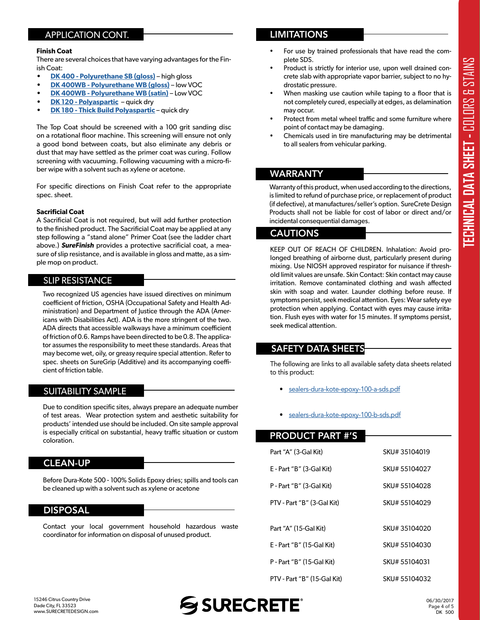# APPLICATION CONT.

#### **Finish Coat**

There are several choices that have varying advantages for the Finish Coat:

- **• [DK 400 Polyurethane SB \(gloss\)](https://www.surecretedesign.com/product/high-gloss-floor-polyurethane/)** high gloss
- **• [DK 400WB Polyurethane WB \(gloss\)](https://www.surecretedesign.com/product/wb-clear-floor-polyurethane/)** low VOC
- **• [DK 400WB Polyurethane WB \(satin\)](https://www.surecretedesign.com/product/wb-clear-floor-polyurethane/)** Low VOC
- **• [DK 120 Polyaspartic](vhttps://www.surecretedesign.com/product/wb-clear-floor-polyurethane/)** quick dry
- **• [DK 180 Thick Build Polyaspartic](https://www.surecretedesign.com/product/clear-polyaspartic-floor-coating/)** quick dry

The Top Coat should be screened with a 100 grit sanding disc on a rotational floor machine. This screening will ensure not only a good bond between coats, but also eliminate any debris or dust that may have settled as the primer coat was curing. Follow screening with vacuuming. Following vacuuming with a micro-fiber wipe with a solvent such as xylene or acetone.

For specific directions on Finish Coat refer to the appropriate spec. sheet.

#### **Sacrificial Coat**

A Sacrificial Coat is not required, but will add further protection to the finished product. The Sacrificial Coat may be applied at any step following a "stand alone" Primer Coat (see the ladder chart above.) *SureFinish* provides a protective sacrificial coat, a measure of slip resistance, and is available in gloss and matte, as a simple mop on product.

# **SLIP RESISTANCE**

Two recognized US agencies have issued directives on minimum coefficient of friction, OSHA (Occupational Safety and Health Administration) and Department of Justice through the ADA (Americans with Disabilities Act). ADA is the more stringent of the two. ADA directs that accessible walkways have a minimum coefficient of friction of 0.6. Ramps have been directed to be 0.8. The applicator assumes the responsibility to meet these standards. Areas that may become wet, oily, or greasy require special attention. Refer to spec. sheets on SureGrip (Additive) and its accompanying coefficient of friction table.

# SUITABILITY SAMPLE

Due to condition specific sites, always prepare an adequate number of test areas. Wear protection system and aesthetic suitability for products' intended use should be included. On site sample approval is especially critical on substantial, heavy traffic situation or custom coloration.

# CLEAN-UP

Before Dura-Kote 500 - 100% Solids Epoxy dries; spills and tools can be cleaned up with a solvent such as xylene or acetone

## DISPOSAL

Contact your local government household hazardous waste coordinator for information on disposal of unused product.

# **LIMITATIONS**

- For use by trained professionals that have read the complete SDS.
- Product is strictly for interior use, upon well drained concrete slab with appropriate vapor barrier, subject to no hydrostatic pressure.
- When masking use caution while taping to a floor that is not completely cured, especially at edges, as delamination may occur.
- Protect from metal wheel traffic and some furniture where point of contact may be damaging.
- Chemicals used in tire manufacturing may be detrimental to all sealers from vehicular parking.

# WARRANTY

Warranty of this product, when used according to the directions, is limited to refund of purchase price, or replacement of product (if defective), at manufactures/seller's option. SureCrete Design Products shall not be liable for cost of labor or direct and/or incidental consequential damages.

# CAUTIONS

KEEP OUT OF REACH OF CHILDREN. Inhalation: Avoid prolonged breathing of airborne dust, particularly present during mixing. Use NIOSH approved respirator for nuisance if threshold limit values are unsafe. Skin Contact: Skin contact may cause irritation. Remove contaminated clothing and wash affected skin with soap and water. Launder clothing before reuse. If symptoms persist, seek medical attention. Eyes: Wear safety eye protection when applying. Contact with eyes may cause irritation. Flush eyes with water for 15 minutes. If symptoms persist, seek medical attention.

# SAFETY DATA SHEETS

The following are links to all available safety data sheets related to this product:

- sealers-dura-kote-epoxy-100-a-sds[.pdf](http://www.surecretedesign.com/sds/sealers-dura-kote-epoxy-100-a-sds.pdf)
- sealers-dura-kote-epoxy-100-b-sd[s.pdf](http://www.surecretedesign.com/sds/sealers-dura-kote-epoxy-100-b-sds.pdf)

# PRODUCT PART #'S

| Part "A" (3-Gal Kit)        | SKU# 35104019 |
|-----------------------------|---------------|
| E - Part "B" (3-Gal Kit)    | SKU# 55104027 |
| P - Part "B" (3-Gal Kit)    | SKU# 55104028 |
| PTV - Part "B" (3-Gal Kit)  | SKU# 55104029 |
|                             |               |
| Part "A" (15-Gal Kit)       | SKU# 35104020 |
| E - Part "B" (15-Gal Kit)   | SKU# 55104030 |
| P - Part "B" (15-Gal Kit)   | SKU# 55104031 |
| PTV - Part "B" (15-Gal Kit) | SKU# 55104032 |